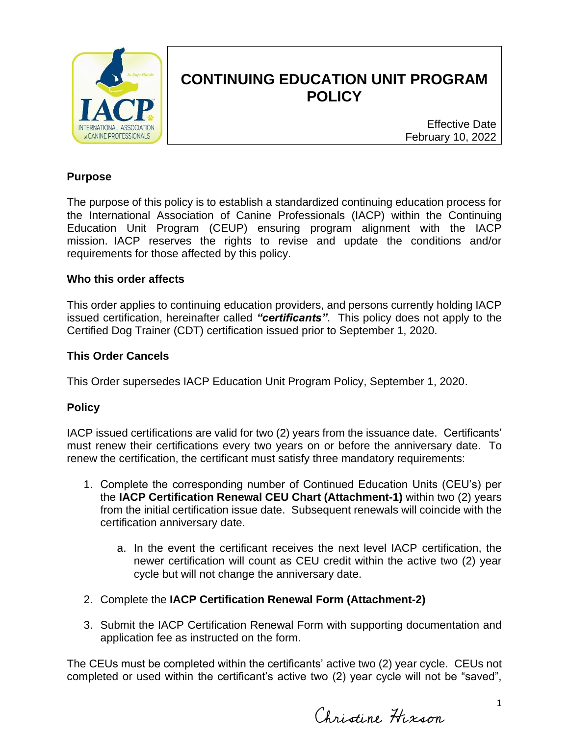

# **CONTINUING EDUCATION UNIT PROGRAM POLICY**

Effective Date February 10, 2022

### **Purpose**

The purpose of this policy is to establish a standardized continuing education process for the International Association of Canine Professionals (IACP) within the Continuing Education Unit Program (CEUP) ensuring program alignment with the IACP mission. IACP reserves the rights to revise and update the conditions and/or requirements for those affected by this policy.

### **Who this order affects**

This order applies to continuing education providers, and persons currently holding IACP issued certification, hereinafter called *"certificants"*. This policy does not apply to the Certified Dog Trainer (CDT) certification issued prior to September 1, 2020.

### **This Order Cancels**

This Order supersedes IACP Education Unit Program Policy, September 1, 2020.

### **Policy**

IACP issued certifications are valid for two (2) years from the issuance date. Certificants' must renew their certifications every two years on or before the anniversary date. To renew the certification, the certificant must satisfy three mandatory requirements:

- 1. Complete the corresponding number of Continued Education Units (CEU's) per the **IACP Certification Renewal CEU Chart (Attachment-1)** within two (2) years from the initial certification issue date. Subsequent renewals will coincide with the certification anniversary date.
	- a. In the event the certificant receives the next level IACP certification, the newer certification will count as CEU credit within the active two (2) year cycle but will not change the anniversary date.
- 2. Complete the **IACP Certification Renewal Form (Attachment-2)**
- 3. Submit the IACP Certification Renewal Form with supporting documentation and application fee as instructed on the form.

The CEUs must be completed within the certificants' active two (2) year cycle. CEUs not completed or used within the certificant's active two (2) year cycle will not be "saved",

Christine Hixson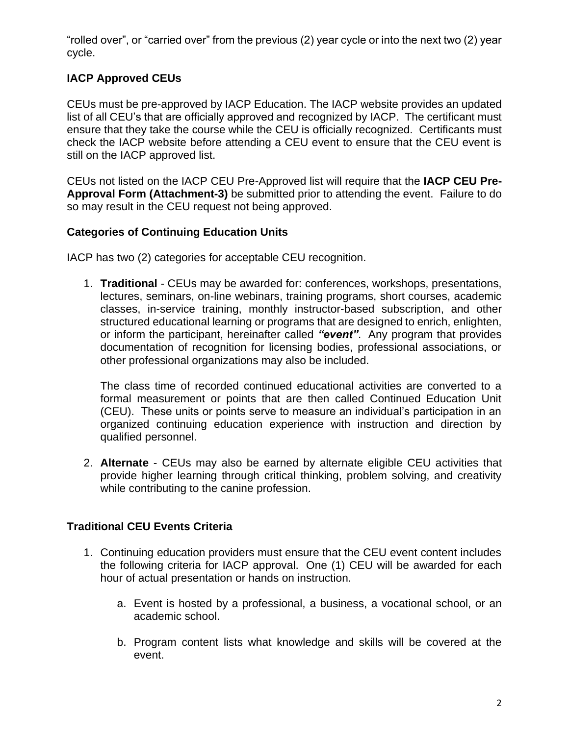"rolled over", or "carried over" from the previous (2) year cycle or into the next two (2) year cycle.

# **IACP Approved CEUs**

CEUs must be pre-approved by IACP Education. The IACP website provides an updated list of all CEU's that are officially approved and recognized by IACP. The certificant must ensure that they take the course while the CEU is officially recognized. Certificants must check the IACP website before attending a CEU event to ensure that the CEU event is still on the IACP approved list.

CEUs not listed on the IACP CEU Pre-Approved list will require that the **IACP CEU Pre-Approval Form (Attachment-3)** be submitted prior to attending the event. Failure to do so may result in the CEU request not being approved.

# **Categories of Continuing Education Units**

IACP has two (2) categories for acceptable CEU recognition.

1. **Traditional** - CEUs may be awarded for: conferences, workshops, presentations, lectures, seminars, on-line webinars, training programs, short courses, academic classes, in-service training, monthly instructor-based subscription, and other structured educational learning or programs that are designed to enrich, enlighten, or inform the participant, hereinafter called *"event"*. Any program that provides documentation of recognition for licensing bodies, professional associations, or other professional organizations may also be included.

The class time of recorded continued educational activities are converted to a formal measurement or points that are then called Continued Education Unit (CEU). These units or points serve to measure an individual's participation in an organized continuing education experience with instruction and direction by qualified personnel.

2. **Alternate** - CEUs may also be earned by alternate eligible CEU activities that provide higher learning through critical thinking, problem solving, and creativity while contributing to the canine profession.

# **Traditional CEU Events Criteria**

- 1. Continuing education providers must ensure that the CEU event content includes the following criteria for IACP approval. One (1) CEU will be awarded for each hour of actual presentation or hands on instruction.
	- a. Event is hosted by a professional, a business, a vocational school, or an academic school.
	- b. Program content lists what knowledge and skills will be covered at the event.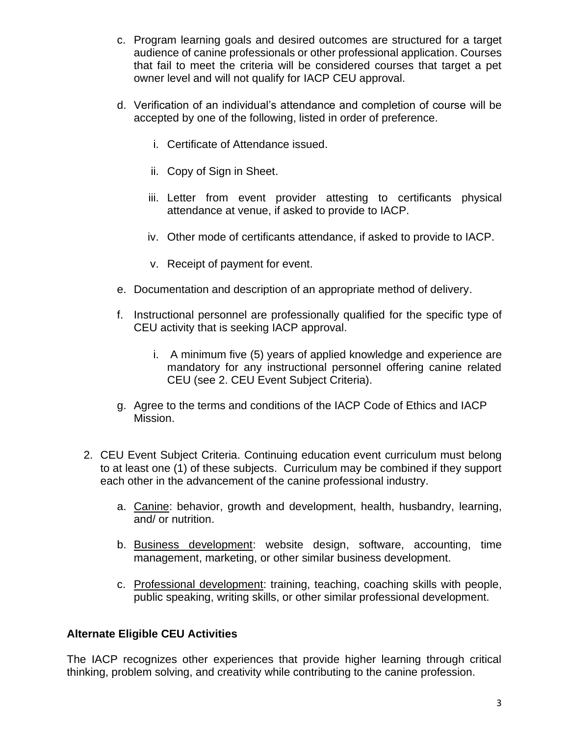- c. Program learning goals and desired outcomes are structured for a target audience of canine professionals or other professional application. Courses that fail to meet the criteria will be considered courses that target a pet owner level and will not qualify for IACP CEU approval.
- d. Verification of an individual's attendance and completion of course will be accepted by one of the following, listed in order of preference.
	- i. Certificate of Attendance issued.
	- ii. Copy of Sign in Sheet.
	- iii. Letter from event provider attesting to certificants physical attendance at venue, if asked to provide to IACP.
	- iv. Other mode of certificants attendance, if asked to provide to IACP.
	- v. Receipt of payment for event.
- e. Documentation and description of an appropriate method of delivery.
- f. Instructional personnel are professionally qualified for the specific type of CEU activity that is seeking IACP approval.
	- i. A minimum five (5) years of applied knowledge and experience are mandatory for any instructional personnel offering canine related CEU (see 2. CEU Event Subject Criteria).
- g. Agree to the terms and conditions of the IACP Code of Ethics and IACP Mission.
- 2. CEU Event Subject Criteria. Continuing education event curriculum must belong to at least one (1) of these subjects. Curriculum may be combined if they support each other in the advancement of the canine professional industry.
	- a. Canine: behavior, growth and development, health, husbandry, learning, and/ or nutrition.
	- b. Business development: website design, software, accounting, time management, marketing, or other similar business development.
	- c. Professional development: training, teaching, coaching skills with people, public speaking, writing skills, or other similar professional development.

# **Alternate Eligible CEU Activities**

The IACP recognizes other experiences that provide higher learning through critical thinking, problem solving, and creativity while contributing to the canine profession.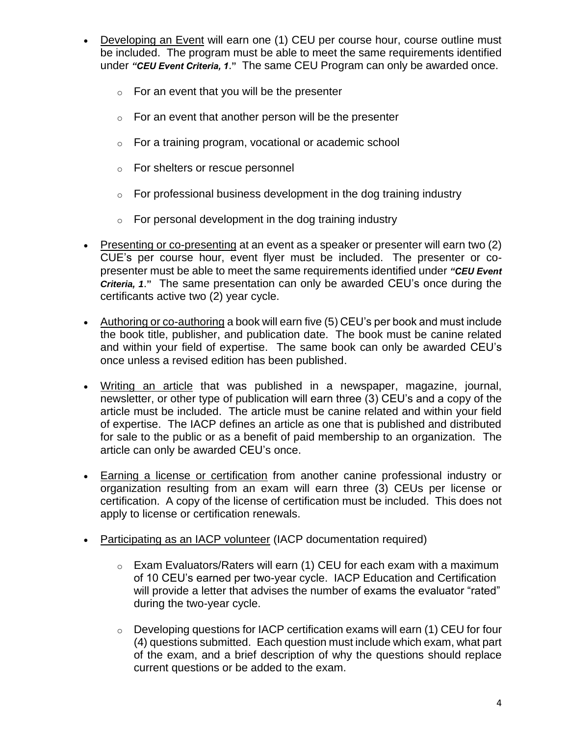- Developing an Event will earn one (1) CEU per course hour, course outline must be included. The program must be able to meet the same requirements identified under *"CEU Event Criteria, 1*.**"** The same CEU Program can only be awarded once.
	- $\circ$  For an event that you will be the presenter
	- $\circ$  For an event that another person will be the presenter
	- o For a training program, vocational or academic school
	- o For shelters or rescue personnel
	- $\circ$  For professional business development in the dog training industry
	- $\circ$  For personal development in the dog training industry
- Presenting or co-presenting at an event as a speaker or presenter will earn two (2) CUE's per course hour, event flyer must be included. The presenter or copresenter must be able to meet the same requirements identified under *"CEU Event Criteria, 1*.**"** The same presentation can only be awarded CEU's once during the certificants active two (2) year cycle.
- Authoring or co-authoring a book will earn five (5) CEU's per book and must include the book title, publisher, and publication date. The book must be canine related and within your field of expertise. The same book can only be awarded CEU's once unless a revised edition has been published.
- Writing an article that was published in a newspaper, magazine, journal, newsletter, or other type of publication will earn three (3) CEU's and a copy of the article must be included. The article must be canine related and within your field of expertise. The IACP defines an article as one that is published and distributed for sale to the public or as a benefit of paid membership to an organization. The article can only be awarded CEU's once.
- Earning a license or certification from another canine professional industry or organization resulting from an exam will earn three (3) CEUs per license or certification. A copy of the license of certification must be included. This does not apply to license or certification renewals.
- Participating as an IACP volunteer (IACP documentation required)
	- o Exam Evaluators/Raters will earn (1) CEU for each exam with a maximum of 10 CEU's earned per two-year cycle. IACP Education and Certification will provide a letter that advises the number of exams the evaluator "rated" during the two-year cycle.
	- o Developing questions for IACP certification exams will earn (1) CEU for four (4) questions submitted. Each question must include which exam, what part of the exam, and a brief description of why the questions should replace current questions or be added to the exam.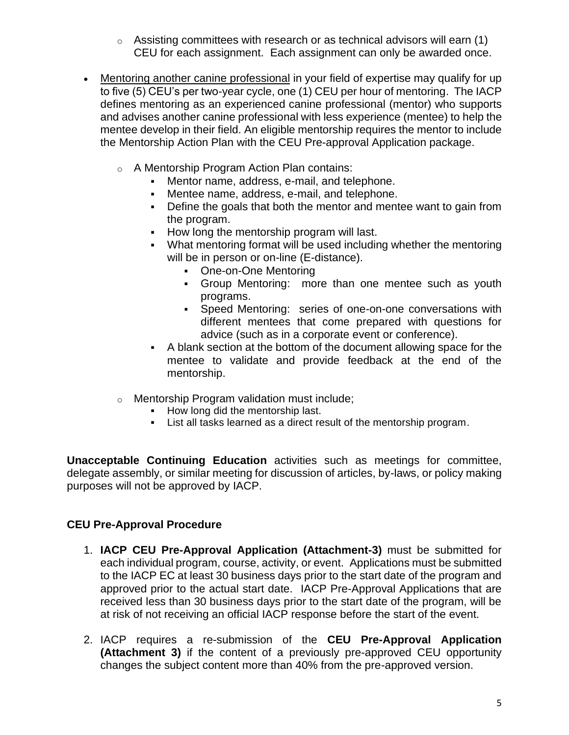- $\circ$  Assisting committees with research or as technical advisors will earn (1) CEU for each assignment. Each assignment can only be awarded once.
- Mentoring another canine professional in your field of expertise may qualify for up to five (5) CEU's per two-year cycle, one (1) CEU per hour of mentoring. The IACP defines mentoring as an experienced canine professional (mentor) who supports and advises another canine professional with less experience (mentee) to help the mentee develop in their field. An eligible mentorship requires the mentor to include the Mentorship Action Plan with the CEU Pre-approval Application package.
	- o A Mentorship Program Action Plan contains:
		- Mentor name, address, e-mail, and telephone.
		- Mentee name, address, e-mail, and telephone.
		- Define the goals that both the mentor and mentee want to gain from the program.
		- How long the mentorship program will last.
		- **What mentoring format will be used including whether the mentoring** will be in person or on-line (E-distance).
			- One-on-One Mentoring
			- Group Mentoring: more than one mentee such as youth programs.
			- Speed Mentoring: series of one-on-one conversations with different mentees that come prepared with questions for advice (such as in a corporate event or conference).
		- A blank section at the bottom of the document allowing space for the mentee to validate and provide feedback at the end of the mentorship.
	- o Mentorship Program validation must include;
		- How long did the mentorship last.
		- List all tasks learned as a direct result of the mentorship program.

**Unacceptable Continuing Education** activities such as meetings for committee, delegate assembly, or similar meeting for discussion of articles, by-laws, or policy making purposes will not be approved by IACP.

# **CEU Pre-Approval Procedure**

- 1. **IACP CEU Pre-Approval Application (Attachment-3)** must be submitted for each individual program, course, activity, or event. Applications must be submitted to the IACP EC at least 30 business days prior to the start date of the program and approved prior to the actual start date. IACP Pre-Approval Applications that are received less than 30 business days prior to the start date of the program, will be at risk of not receiving an official IACP response before the start of the event.
- 2. IACP requires a re-submission of the **CEU Pre-Approval Application (Attachment 3)** if the content of a previously pre-approved CEU opportunity changes the subject content more than 40% from the pre-approved version.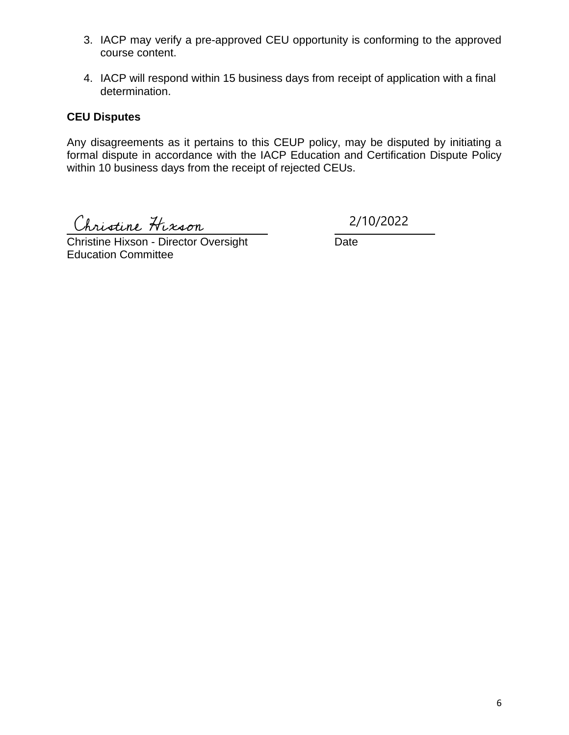- 3. IACP may verify a pre-approved CEU opportunity is conforming to the approved course content.
- 4. IACP will respond within 15 business days from receipt of application with a final determination.

## **CEU Disputes**

Any disagreements as it pertains to this CEUP policy, may be disputed by initiating a formal dispute in accordance with the IACP Education and Certification Dispute Policy within 10 business days from the receipt of rejected CEUs.

Christine Hixson 2/10/2022

Christine Hixson - Director Oversight Date Education Committee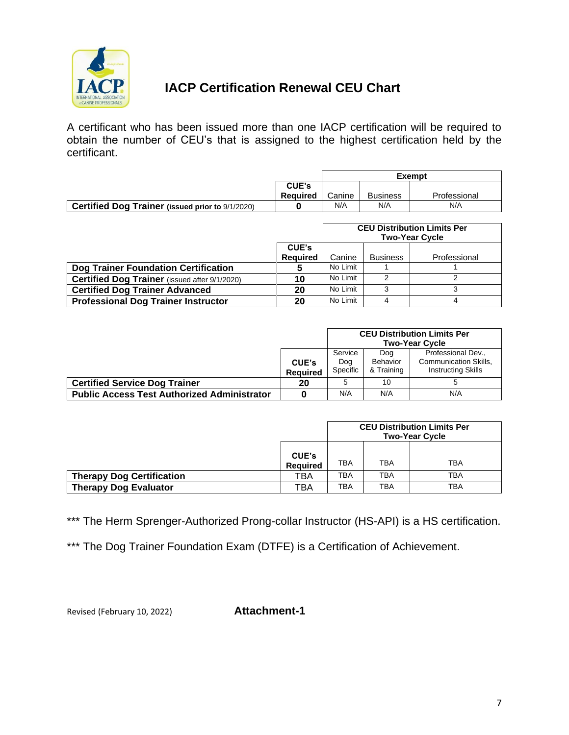

# **IACP Certification Renewal CEU Chart**

A certificant who has been issued more than one IACP certification will be required to obtain the number of CEU's that is assigned to the highest certification held by the certificant.

|                                                         |          | <b>Exempt</b> |                 |              |
|---------------------------------------------------------|----------|---------------|-----------------|--------------|
|                                                         | CUE's    |               |                 |              |
|                                                         | Reauired | Canine        | <b>Business</b> | Professional |
| <b>Certified Dog Trainer (issued prior to 9/1/2020)</b> |          | N/A           | N/A             | N/A          |

|                                                      |                 | <b>CEU Distribution Limits Per</b><br><b>Two-Year Cycle</b> |                 |              |
|------------------------------------------------------|-----------------|-------------------------------------------------------------|-----------------|--------------|
|                                                      | CUE's           |                                                             |                 |              |
|                                                      | <b>Required</b> | Canine                                                      | <b>Business</b> | Professional |
| Dog Trainer Foundation Certification                 |                 | No Limit                                                    |                 |              |
| <b>Certified Dog Trainer</b> (issued after 9/1/2020) | 10              | No Limit                                                    | າ               |              |
| <b>Certified Dog Trainer Advanced</b>                | 20              | No Limit                                                    | ◠               |              |
| <b>Professional Dog Trainer Instructor</b>           | 20              | No Limit                                                    |                 |              |

|                                                    |                                 | <b>CEU Distribution Limits Per</b><br><b>Two-Year Cycle</b> |                               |                                                                          |
|----------------------------------------------------|---------------------------------|-------------------------------------------------------------|-------------------------------|--------------------------------------------------------------------------|
|                                                    | <b>CUE's</b><br><b>Required</b> | Service<br>Dog<br>Specific                                  | Doa<br>Behavior<br>& Training | Professional Dev.,<br>Communication Skills,<br><b>Instructing Skills</b> |
| <b>Certified Service Dog Trainer</b>               | 20                              | 5                                                           | 10                            |                                                                          |
| <b>Public Access Test Authorized Administrator</b> |                                 | N/A                                                         | N/A                           | N/A                                                                      |

|                                  |                                 | <b>CEU Distribution Limits Per</b><br><b>Two-Year Cycle</b> |     |            |
|----------------------------------|---------------------------------|-------------------------------------------------------------|-----|------------|
|                                  | <b>CUE's</b><br><b>Required</b> | TBA                                                         | TBA | <b>TBA</b> |
| <b>Therapy Dog Certification</b> | TBA                             | TBA                                                         | TBA | TBA        |
| <b>Therapy Dog Evaluator</b>     | TBA                             | ТВА                                                         | TBA | <b>TBA</b> |

\*\*\* The Herm Sprenger-Authorized Prong-collar Instructor (HS-API) is a HS certification.

\*\*\* The Dog Trainer Foundation Exam (DTFE) is a Certification of Achievement.

Revised (February 10, 2022) **Attachment-1**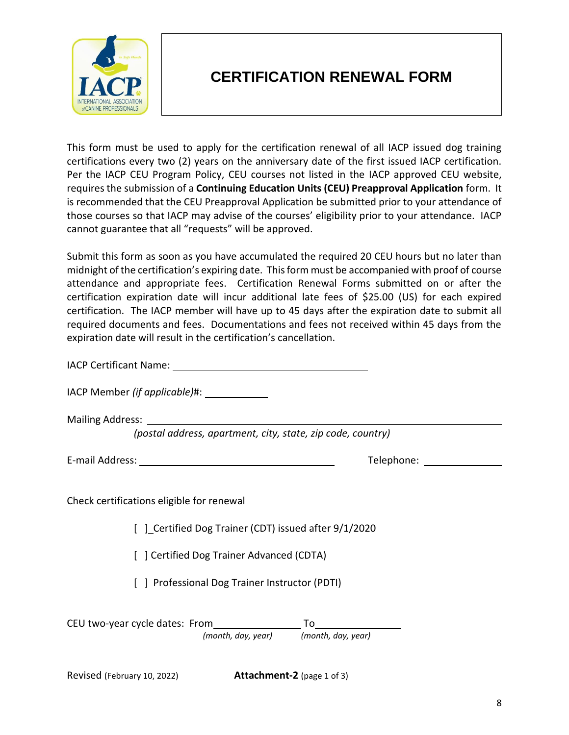

# **CERTIFICATION RENEWAL FORM**

This form must be used to apply for the certification renewal of all IACP issued dog training certifications every two (2) years on the anniversary date of the first issued IACP certification. Per the IACP CEU Program Policy, CEU courses not listed in the IACP approved CEU website, requires the submission of a **Continuing Education Units (CEU) Preapproval Application** form. It is recommended that the CEU Preapproval Application be submitted prior to your attendance of those courses so that IACP may advise of the courses' eligibility prior to your attendance. IACP cannot guarantee that all "requests" will be approved.

Submit this form as soon as you have accumulated the required 20 CEU hours but no later than midnight of the certification's expiring date. This form must be accompanied with proof of course attendance and appropriate fees. Certification Renewal Forms submitted on or after the certification expiration date will incur additional late fees of \$25.00 (US) for each expired certification. The IACP member will have up to 45 days after the expiration date to submit all required documents and fees. Documentations and fees not received within 45 days from the expiration date will result in the certification's cancellation.

IACP Certificant Name:

IACP Member *(if applicable)*#:

Mailing Address:

*(postal address, apartment, city, state, zip code, country)*

E-mail Address: Telephone:

Check certifications eligible for renewal

[ ] Certified Dog Trainer (CDT) issued after 9/1/2020

[ ] Certified Dog Trainer Advanced (CDTA)

[ ] Professional Dog Trainer Instructor (PDTI)

CEU two-year cycle dates: From To *(month, day, year) (month, day, year)*

Revised (February 10, 2022) **Attachment-2** (page 1 of 3)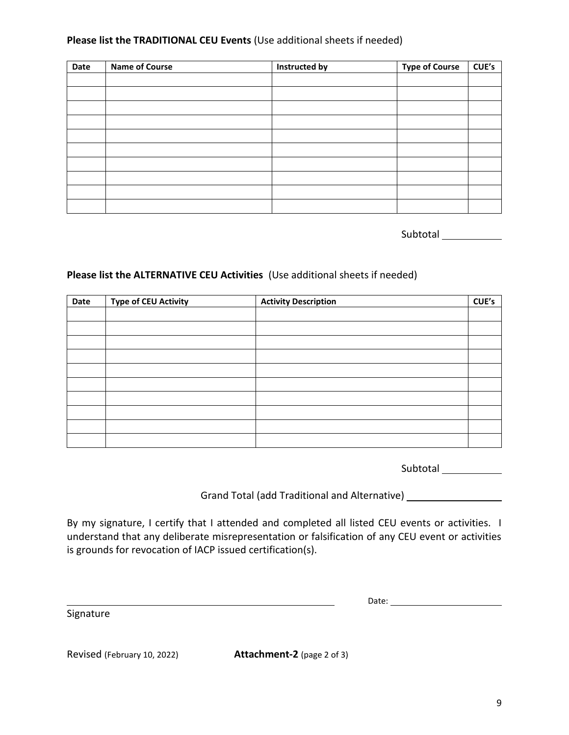### **Please list the TRADITIONAL CEU Events** (Use additional sheets if needed)

| Date | <b>Name of Course</b> | Instructed by | <b>Type of Course</b> | CUE's |
|------|-----------------------|---------------|-----------------------|-------|
|      |                       |               |                       |       |
|      |                       |               |                       |       |
|      |                       |               |                       |       |
|      |                       |               |                       |       |
|      |                       |               |                       |       |
|      |                       |               |                       |       |
|      |                       |               |                       |       |
|      |                       |               |                       |       |
|      |                       |               |                       |       |
|      |                       |               |                       |       |

Subtotal 2000

### **Please list the ALTERNATIVE CEU Activities** (Use additional sheets if needed)

| Date | <b>Type of CEU Activity</b> | <b>Activity Description</b> | CUE's |
|------|-----------------------------|-----------------------------|-------|
|      |                             |                             |       |
|      |                             |                             |       |
|      |                             |                             |       |
|      |                             |                             |       |
|      |                             |                             |       |
|      |                             |                             |       |
|      |                             |                             |       |
|      |                             |                             |       |
|      |                             |                             |       |
|      |                             |                             |       |

Subtotal

Grand Total (add Traditional and Alternative)

By my signature, I certify that I attended and completed all listed CEU events or activities. I understand that any deliberate misrepresentation or falsification of any CEU event or activities is grounds for revocation of IACP issued certification(s).

<u> 1980 - Johann Barn, mars eta biztanleria (</u>

Date:

Signature

Revised (February 10, 2022) **Attachment-2** (page 2 of 3)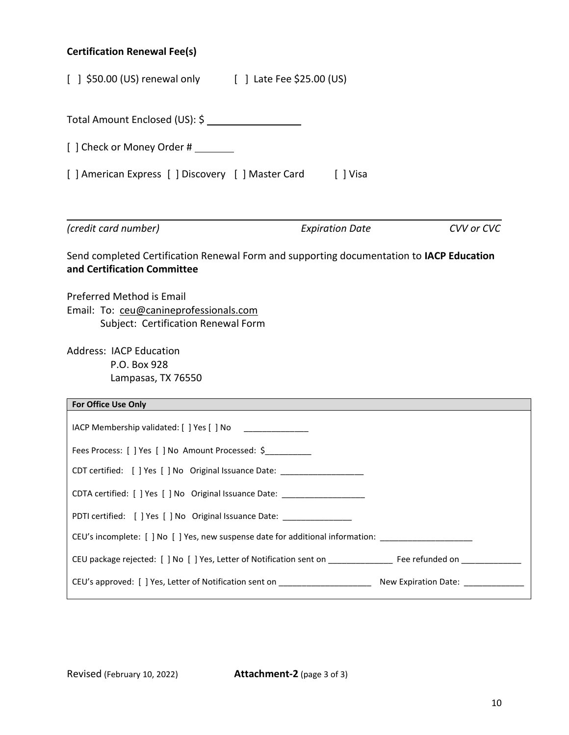# **Certification Renewal Fee(s)**

| [ ] \$50.00 (US) renewal only [ ] Late Fee \$25.00 (US)                                                                 |                        |            |
|-------------------------------------------------------------------------------------------------------------------------|------------------------|------------|
|                                                                                                                         |                        |            |
| [ ] Check or Money Order #                                                                                              |                        |            |
| [ ] American Express [ ] Discovery [ ] Master Card [ ] Visa                                                             |                        |            |
| (credit card number)                                                                                                    | <b>Expiration Date</b> | CVV or CVC |
| Send completed Certification Renewal Form and supporting documentation to IACP Education<br>and Certification Committee |                        |            |
| Preferred Method is Email<br>Email: To: ceu@canineprofessionals.com<br>Subject: Certification Renewal Form              |                        |            |
| <b>Address: IACP Education</b><br>P.O. Box 928<br>Lampasas, TX 76550                                                    |                        |            |
| For Office Use Only                                                                                                     |                        |            |
| IACP Membership validated: [ ] Yes [ ] No                                                                               |                        |            |
| Fees Process: [ ] Yes [ ] No Amount Processed: \$                                                                       |                        |            |
| CDT certified: [ ] Yes [ ] No Original Issuance Date: __________________________                                        |                        |            |
| CDTA certified: [ ] Yes [ ] No Original Issuance Date: _________________________                                        |                        |            |
| PDTI certified: [ ] Yes [ ] No Original Issuance Date: ___________________                                              |                        |            |
| CEU's incomplete: [ ] No [ ] Yes, new suspense date for additional information: ___________________                     |                        |            |
| CEU package rejected: [ ] No [ ] Yes, Letter of Notification sent on ___________________ Fee refunded on ______________ |                        |            |
| CEU's approved: [ ] Yes, Letter of Notification sent on _________________________ New Expiration Date: ______________   |                        |            |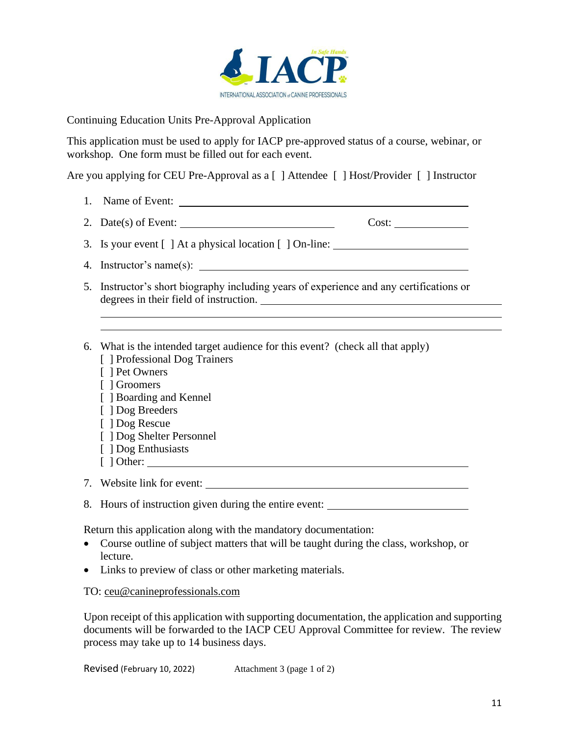

Continuing Education Units Pre-Approval Application

This application must be used to apply for IACP pre-approved status of a course, webinar, or workshop. One form must be filled out for each event.

Are you applying for CEU Pre-Approval as a [ ] Attendee [ ] Host/Provider [ ] Instructor

- 1. Name of Event:
- 2. Date(s) of Event:  $\qquad \qquad \qquad \qquad \qquad \qquad \text{Cost:} \qquad \qquad$

3. Is your event [ ] At a physical location [ ] On-line:

- 4. Instructor's name(s):
- 5. Instructor's short biography including years of experience and any certifications or degrees in their field of instruction.
- 6. What is the intended target audience for this event? (check all that apply) [ ] Professional Dog Trainers
	- [ ] Pet Owners
	- [ ] Groomers
	- [ ] Boarding and Kennel
	- [ ] Dog Breeders
	- [ ] Dog Rescue
	- [ ] Dog Shelter Personnel
	- [ ] Dog Enthusiasts
	- [ ] Other:

7. Website link for event:

8. Hours of instruction given during the entire event:

Return this application along with the mandatory documentation:

- Course outline of subject matters that will be taught during the class, workshop, or lecture.
- Links to preview of class or other marketing materials.

TO: [ceu@canineprofessionals.com](mailto:ceu@canineprofessionals.com)

Upon receipt of this application with supporting documentation, the application and supporting documents will be forwarded to the IACP CEU Approval Committee for review. The review process may take up to 14 business days.

Revised (February 10, 2022) Attachment 3 (page 1 of 2)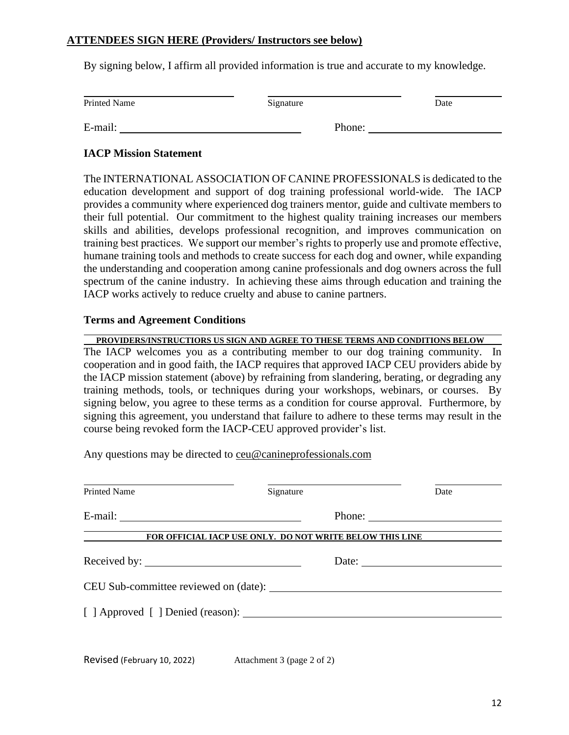### **ATTENDEES SIGN HERE (Providers/ Instructors see below)**

By signing below, I affirm all provided information is true and accurate to my knowledge.

| <b>Printed Name</b> | Signature | Date |
|---------------------|-----------|------|
| E-mail:             | Phone:    |      |

### **IACP Mission Statement**

The INTERNATIONAL ASSOCIATION OF CANINE PROFESSIONALS is dedicated to the education development and support of dog training professional world-wide. The IACP provides a community where experienced dog trainers mentor, guide and cultivate members to their full potential. Our commitment to the highest quality training increases our members skills and abilities, develops professional recognition, and improves communication on training best practices. We support our member's rights to properly use and promote effective, humane training tools and methods to create success for each dog and owner, while expanding the understanding and cooperation among canine professionals and dog owners across the full spectrum of the canine industry. In achieving these aims through education and training the IACP works actively to reduce cruelty and abuse to canine partners.

### **Terms and Agreement Conditions**

### **PROVIDERS/INSTRUCTIORS US SIGN AND AGREE TO THESE TERMS AND CONDITIONS BELOW**

The IACP welcomes you as a contributing member to our dog training community. In cooperation and in good faith, the IACP requires that approved IACP CEU providers abide by the IACP mission statement (above) by refraining from slandering, berating, or degrading any training methods, tools, or techniques during your workshops, webinars, or courses. By signing below, you agree to these terms as a condition for course approval. Furthermore, by signing this agreement, you understand that failure to adhere to these terms may result in the course being revoked form the IACP-CEU approved provider's list.

Any questions may be directed to [ceu@canineprofessionals.com](mailto:ceu@canineprofessionals.com)

| <b>Printed Name</b> | Signature                                                | Date                                                                                                                                                                                                                                                                                                                                                                                                         |
|---------------------|----------------------------------------------------------|--------------------------------------------------------------------------------------------------------------------------------------------------------------------------------------------------------------------------------------------------------------------------------------------------------------------------------------------------------------------------------------------------------------|
|                     |                                                          | Phone: $\frac{1}{\sqrt{1-\frac{1}{2}}\sqrt{1-\frac{1}{2}}\sqrt{1-\frac{1}{2}}\sqrt{1-\frac{1}{2}}\sqrt{1-\frac{1}{2}}\sqrt{1-\frac{1}{2}}\sqrt{1-\frac{1}{2}}\sqrt{1-\frac{1}{2}}\sqrt{1-\frac{1}{2}}\sqrt{1-\frac{1}{2}}\sqrt{1-\frac{1}{2}}\sqrt{1-\frac{1}{2}}\sqrt{1-\frac{1}{2}}\sqrt{1-\frac{1}{2}}\sqrt{1-\frac{1}{2}}\sqrt{1-\frac{1}{2}}\sqrt{1-\frac{1}{2}}\sqrt{1-\frac{1}{2}}\sqrt{1-\frac{1}{2$ |
|                     | FOR OFFICIAL IACP USE ONLY. DO NOT WRITE BELOW THIS LINE |                                                                                                                                                                                                                                                                                                                                                                                                              |
|                     |                                                          | Date: $\qquad \qquad$                                                                                                                                                                                                                                                                                                                                                                                        |
|                     | CEU Sub-committee reviewed on (date):                    |                                                                                                                                                                                                                                                                                                                                                                                                              |
|                     | [ ] Approved [ ] Denied (reason):                        |                                                                                                                                                                                                                                                                                                                                                                                                              |
|                     |                                                          |                                                                                                                                                                                                                                                                                                                                                                                                              |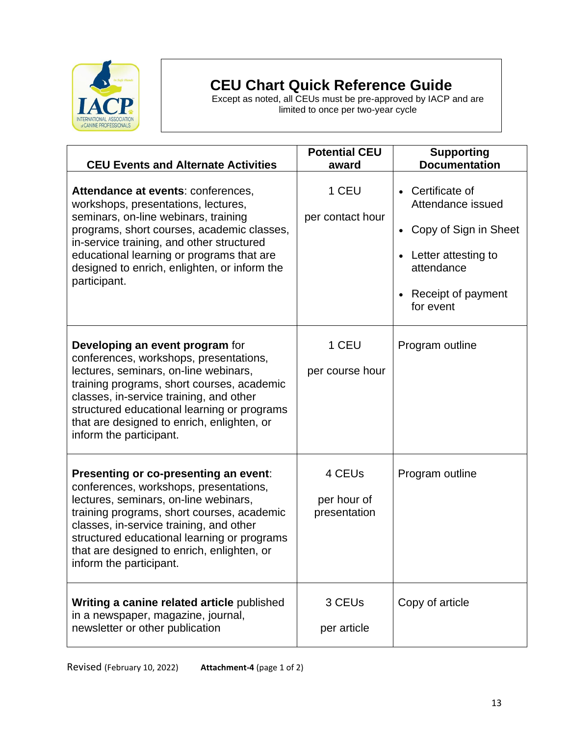

# **CEU Chart Quick Reference Guide**

Except as noted, all CEUs must be pre-approved by IACP and are limited to once per two-year cycle

| <b>CEU Events and Alternate Activities</b>                                                                                                                                                                                                                                                                                                | <b>Potential CEU</b><br>award         | <b>Supporting</b><br><b>Documentation</b>                                                                                              |
|-------------------------------------------------------------------------------------------------------------------------------------------------------------------------------------------------------------------------------------------------------------------------------------------------------------------------------------------|---------------------------------------|----------------------------------------------------------------------------------------------------------------------------------------|
| Attendance at events: conferences,<br>workshops, presentations, lectures,<br>seminars, on-line webinars, training<br>programs, short courses, academic classes,<br>in-service training, and other structured<br>educational learning or programs that are<br>designed to enrich, enlighten, or inform the<br>participant.                 | 1 CEU<br>per contact hour             | Certificate of<br>Attendance issued<br>Copy of Sign in Sheet<br>• Letter attesting to<br>attendance<br>Receipt of payment<br>for event |
| Developing an event program for<br>conferences, workshops, presentations,<br>lectures, seminars, on-line webinars,<br>training programs, short courses, academic<br>classes, in-service training, and other<br>structured educational learning or programs<br>that are designed to enrich, enlighten, or<br>inform the participant.       | 1 CEU<br>per course hour              | Program outline                                                                                                                        |
| Presenting or co-presenting an event:<br>conferences, workshops, presentations,<br>lectures, seminars, on-line webinars,<br>training programs, short courses, academic<br>classes, in-service training, and other<br>structured educational learning or programs<br>that are designed to enrich, enlighten, or<br>inform the participant. | 4 CEUs<br>per hour of<br>presentation | Program outline                                                                                                                        |
| Writing a canine related article published<br>in a newspaper, magazine, journal,<br>newsletter or other publication                                                                                                                                                                                                                       | 3 CEU <sub>s</sub><br>per article     | Copy of article                                                                                                                        |